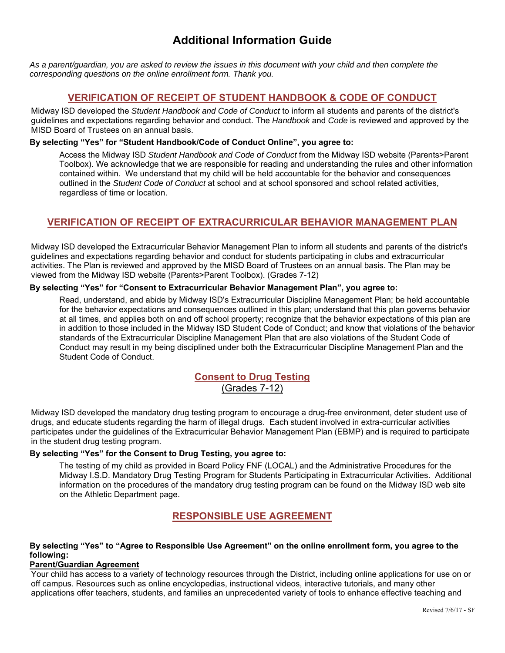# **Additional Information Guide**

*As a parent/guardian, you are asked to review the issues in this document with your child and then complete the corresponding questions on the online enrollment form. Thank you.* 

## **VERIFICATION OF RECEIPT OF STUDENT HANDBOOK & CODE OF CONDUCT**

Midway ISD developed the *Student Handbook and Code of Conduct* to inform all students and parents of the district's guidelines and expectations regarding behavior and conduct. The *Handbook* and *Code* is reviewed and approved by the MISD Board of Trustees on an annual basis.

#### **By selecting "Yes" for "Student Handbook/Code of Conduct Online", you agree to:**

Access the Midway ISD *Student Handbook and Code of Conduct* from the Midway ISD website (Parents>Parent Toolbox). We acknowledge that we are responsible for reading and understanding the rules and other information contained within. We understand that my child will be held accountable for the behavior and consequences outlined in the *Student Code of Conduct* at school and at school sponsored and school related activities, regardless of time or location.

## **VERIFICATION OF RECEIPT OF EXTRACURRICULAR BEHAVIOR MANAGEMENT PLAN**

Midway ISD developed the Extracurricular Behavior Management Plan to inform all students and parents of the district's guidelines and expectations regarding behavior and conduct for students participating in clubs and extracurricular activities. The Plan is reviewed and approved by the MISD Board of Trustees on an annual basis. The Plan may be viewed from the Midway ISD website (Parents>Parent Toolbox). (Grades 7-12)

### **By selecting "Yes" for "Consent to Extracurricular Behavior Management Plan", you agree to:**

Read, understand, and abide by Midway ISD's Extracurricular Discipline Management Plan; be held accountable for the behavior expectations and consequences outlined in this plan; understand that this plan governs behavior at all times, and applies both on and off school property; recognize that the behavior expectations of this plan are in addition to those included in the Midway ISD Student Code of Conduct; and know that violations of the behavior standards of the Extracurricular Discipline Management Plan that are also violations of the Student Code of Conduct may result in my being disciplined under both the Extracurricular Discipline Management Plan and the Student Code of Conduct.

## **Consent to Drug Testing** (Grades 7-12)

Midway ISD developed the mandatory drug testing program to encourage a drug-free environment, deter student use of drugs, and educate students regarding the harm of illegal drugs. Each student involved in extra-curricular activities participates under the guidelines of the Extracurricular Behavior Management Plan (EBMP) and is required to participate in the student drug testing program.

#### **By selecting "Yes" for the Consent to Drug Testing, you agree to:**

The testing of my child as provided in Board Policy FNF (LOCAL) and the Administrative Procedures for the Midway I.S.D. Mandatory Drug Testing Program for Students Participating in Extracurricular Activities. Additional information on the procedures of the mandatory drug testing program can be found on the Midway ISD web site on the Athletic Department page.

## **RESPONSIBLE USE AGREEMENT**

#### **By selecting "Yes" to "Agree to Responsible Use Agreement" on the online enrollment form, you agree to the following:**

#### **Parent/Guardian Agreement**

Your child has access to a variety of technology resources through the District, including online applications for use on or off campus. Resources such as online encyclopedias, instructional videos, interactive tutorials, and many other applications offer teachers, students, and families an unprecedented variety of tools to enhance effective teaching and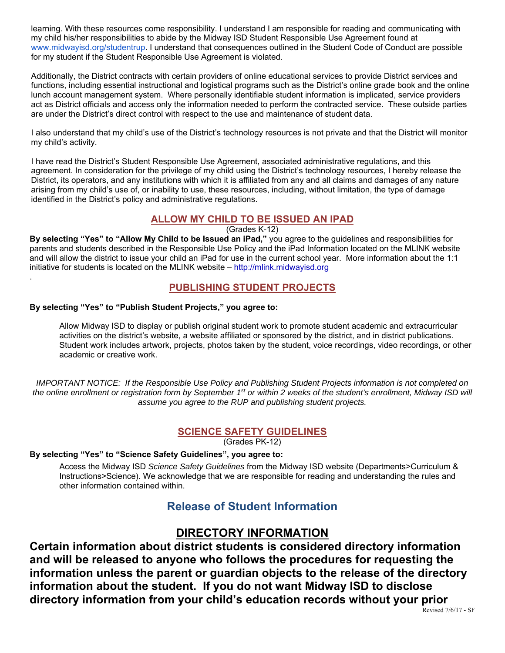learning. With these resources come responsibility. I understand I am responsible for reading and communicating with my child his/her responsibilities to abide by the Midway ISD Student Responsible Use Agreement found at www.midwayisd.org/studentrup. I understand that consequences outlined in the Student Code of Conduct are possible for my student if the Student Responsible Use Agreement is violated.

Additionally, the District contracts with certain providers of online educational services to provide District services and functions, including essential instructional and logistical programs such as the District's online grade book and the online lunch account management system. Where personally identifiable student information is implicated, service providers act as District officials and access only the information needed to perform the contracted service. These outside parties are under the District's direct control with respect to the use and maintenance of student data.

I also understand that my child's use of the District's technology resources is not private and that the District will monitor my child's activity.

I have read the District's Student Responsible Use Agreement, associated administrative regulations, and this agreement. In consideration for the privilege of my child using the District's technology resources, I hereby release the District, its operators, and any institutions with which it is affiliated from any and all claims and damages of any nature arising from my child's use of, or inability to use, these resources, including, without limitation, the type of damage identified in the District's policy and administrative regulations.

## **ALLOW MY CHILD TO BE ISSUED AN IPAD**

(Grades K-12)

By selecting "Yes" to "Allow My Child to be Issued an iPad," you agree to the guidelines and responsibilities for parents and students described in the Responsible Use Policy and the iPad Information located on the MLINK website and will allow the district to issue your child an iPad for use in the current school year. More information about the 1:1 initiative for students is located on the MLINK website – http://mlink.midwayisd.org

## **PUBLISHING STUDENT PROJECTS**

#### **By selecting "Yes" to "Publish Student Projects," you agree to:**

.

Allow Midway ISD to display or publish original student work to promote student academic and extracurricular activities on the district's website, a website affiliated or sponsored by the district, and in district publications. Student work includes artwork, projects, photos taken by the student, voice recordings, video recordings, or other academic or creative work.

*IMPORTANT NOTICE: If the Responsible Use Policy and Publishing Student Projects information is not completed on the online enrollment or registration form by September 1st or within 2 weeks of the student's enrollment, Midway ISD will assume you agree to the RUP and publishing student projects.* 

## **SCIENCE SAFETY GUIDELINES**

(Grades PK-12)

### **By selecting "Yes" to "Science Safety Guidelines", you agree to:**

Access the Midway ISD *Science Safety Guidelines* from the Midway ISD website (Departments>Curriculum & Instructions>Science). We acknowledge that we are responsible for reading and understanding the rules and other information contained within.

# **Release of Student Information**

# **DIRECTORY INFORMATION**

**Certain information about district students is considered directory information and will be released to anyone who follows the procedures for requesting the information unless the parent or guardian objects to the release of the directory information about the student. If you do not want Midway ISD to disclose directory information from your child's education records without your prior**